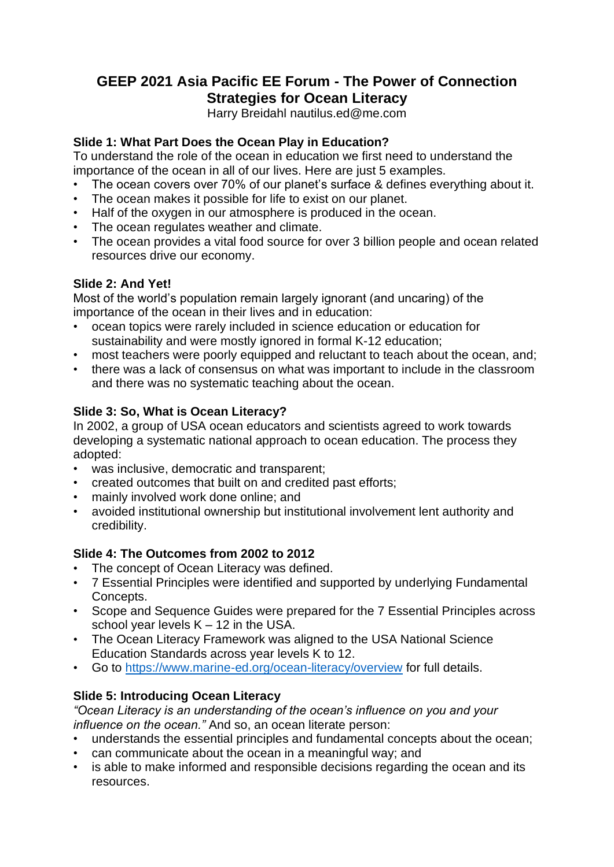# **GEEP 2021 Asia Pacific EE Forum - The Power of Connection Strategies for Ocean Literacy**

Harry Breidahl nautilus.ed@me.com

### **Slide 1: What Part Does the Ocean Play in Education?**

To understand the role of the ocean in education we first need to understand the importance of the ocean in all of our lives. Here are just 5 examples.

- The ocean covers over 70% of our planet's surface & defines everything about it.
- The ocean makes it possible for life to exist on our planet.
- Half of the oxygen in our atmosphere is produced in the ocean.
- The ocean regulates weather and climate.
- The ocean provides a vital food source for over 3 billion people and ocean related resources drive our economy.

### **Slide 2: And Yet!**

Most of the world's population remain largely ignorant (and uncaring) of the importance of the ocean in their lives and in education:

- ocean topics were rarely included in science education or education for sustainability and were mostly ignored in formal K-12 education;
- most teachers were poorly equipped and reluctant to teach about the ocean, and;
- there was a lack of consensus on what was important to include in the classroom and there was no systematic teaching about the ocean.

## **Slide 3: So, What is Ocean Literacy?**

In 2002, a group of USA ocean educators and scientists agreed to work towards developing a systematic national approach to ocean education. The process they adopted:

- was inclusive, democratic and transparent;
- created outcomes that built on and credited past efforts;
- mainly involved work done online; and
- avoided institutional ownership but institutional involvement lent authority and credibility.

### **Slide 4: The Outcomes from 2002 to 2012**

- The concept of Ocean Literacy was defined.
- 7 Essential Principles were identified and supported by underlying Fundamental Concepts.
- Scope and Sequence Guides were prepared for the 7 Essential Principles across school year levels  $K - 12$  in the USA.
- The Ocean Literacy Framework was aligned to the USA National Science Education Standards across year levels K to 12.
- Go to<https://www.marine-ed.org/ocean-literacy/overview> for full details.

### **Slide 5: Introducing Ocean Literacy**

*"Ocean Literacy is an understanding of the ocean's influence on you and your influence on the ocean."* And so, an ocean literate person:

- understands the essential principles and fundamental concepts about the ocean;
- can communicate about the ocean in a meaningful way; and
- is able to make informed and responsible decisions regarding the ocean and its resources.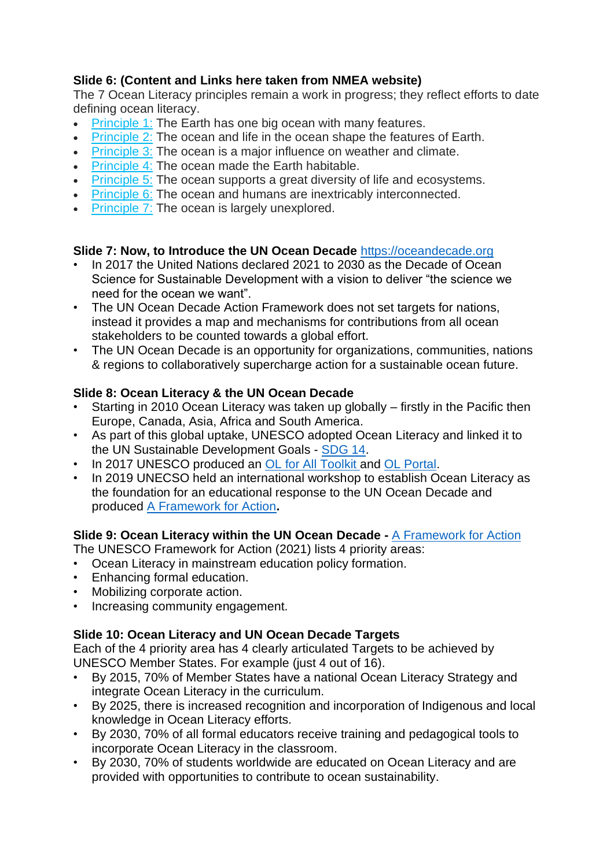## **Slide 6: (Content and Links here taken from NMEA website)**

The 7 Ocean Literacy principles remain a work in progress; they reflect efforts to date defining ocean literacy.

- [Principle](http://oceanliteracy.wp2.coexploration.org/ocean-literacy-framework/?page_id=1424) 1: The Earth has one big ocean with many features.
- [Principle](http://oceanliteracy.wp2.coexploration.org/ocean-literacy-framework/?page_id=1506) 2: The ocean and life in the ocean shape the features of Earth.
- [Principle](http://oceanliteracy.wp2.coexploration.org/ocean-literacy-framework/?page_id=1512) 3: The ocean is a major influence on weather and climate.
- [Principle](http://oceanliteracy.wp2.coexploration.org/ocean-literacy-framework/?page_id=1519) 4: The ocean made the Earth habitable.
- [Principle](http://oceanliteracy.wp2.coexploration.org/ocean-literacy-framework/?page_id=1523) 5: The ocean supports a great diversity of life and ecosystems.
- [Principle](http://oceanliteracy.wp2.coexploration.org/ocean-literacy-framework/?page_id=1527) 6: The ocean and humans are inextricably interconnected.
- [Principle](http://oceanliteracy.wp2.coexploration.org/ocean-literacy-framework/?page_id=1530) 7: The ocean is largely unexplored.

#### **Slide 7: Now, to Introduce the UN Ocean Decade** [https://oceandecade.org](https://oceandecade.org/)

- In 2017 the United Nations declared 2021 to 2030 as the Decade of Ocean Science for Sustainable Development with a vision to deliver "the science we need for the ocean we want".
- The UN Ocean Decade Action Framework does not set targets for nations, instead it provides a map and mechanisms for contributions from all ocean stakeholders to be counted towards a global effort.
- The UN Ocean Decade is an opportunity for organizations, communities, nations & regions to collaboratively supercharge action for a sustainable ocean future.

### **Slide 8: Ocean Literacy & the UN Ocean Decade**

- Starting in 2010 Ocean Literacy was taken up globally firstly in the Pacific then Europe, Canada, Asia, Africa and South America.
- As part of this global uptake, UNESCO adopted Ocean Literacy and linked it to the UN Sustainable Development Goals - [SDG 14.](https://sdgs.un.org/goals/goal14)
- In 2017 UNESCO produced an [OL for All Toolkit a](https://www.researchgate.net/publication/321780367_Ocean_Literacy_for_all_-_A_toolkit)nd [OL Portal.](https://oceanliteracy.unesco.org/?post-types=all&sort=popular)
- In 2019 UNECSO held an international workshop to establish Ocean Literacy as the foundation for an educational response to the UN Ocean Decade and produced [A Framework for Action](http://www.ccms.bg/en/news-and-events/327-ocean-literacy-within-the-united-nations-decade-of-ocean-science-for-sustainable-development-a-framework-for-action)**.**

### **Slide 9: Ocean Literacy within the UN Ocean Decade -** [A Framework for Action](http://www.ccms.bg/en/news-and-events/327-ocean-literacy-within-the-united-nations-decade-of-ocean-science-for-sustainable-development-a-framework-for-action)

The UNESCO Framework for Action (2021) lists 4 priority areas:

- Ocean Literacy in mainstream education policy formation.
- Enhancing formal education.
- Mobilizing corporate action.
- Increasing community engagement.

### **Slide 10: Ocean Literacy and UN Ocean Decade Targets**

Each of the 4 priority area has 4 clearly articulated Targets to be achieved by UNESCO Member States. For example (just 4 out of 16).

- By 2015, 70% of Member States have a national Ocean Literacy Strategy and integrate Ocean Literacy in the curriculum.
- By 2025, there is increased recognition and incorporation of Indigenous and local knowledge in Ocean Literacy efforts.
- By 2030, 70% of all formal educators receive training and pedagogical tools to incorporate Ocean Literacy in the classroom.
- By 2030, 70% of students worldwide are educated on Ocean Literacy and are provided with opportunities to contribute to ocean sustainability.